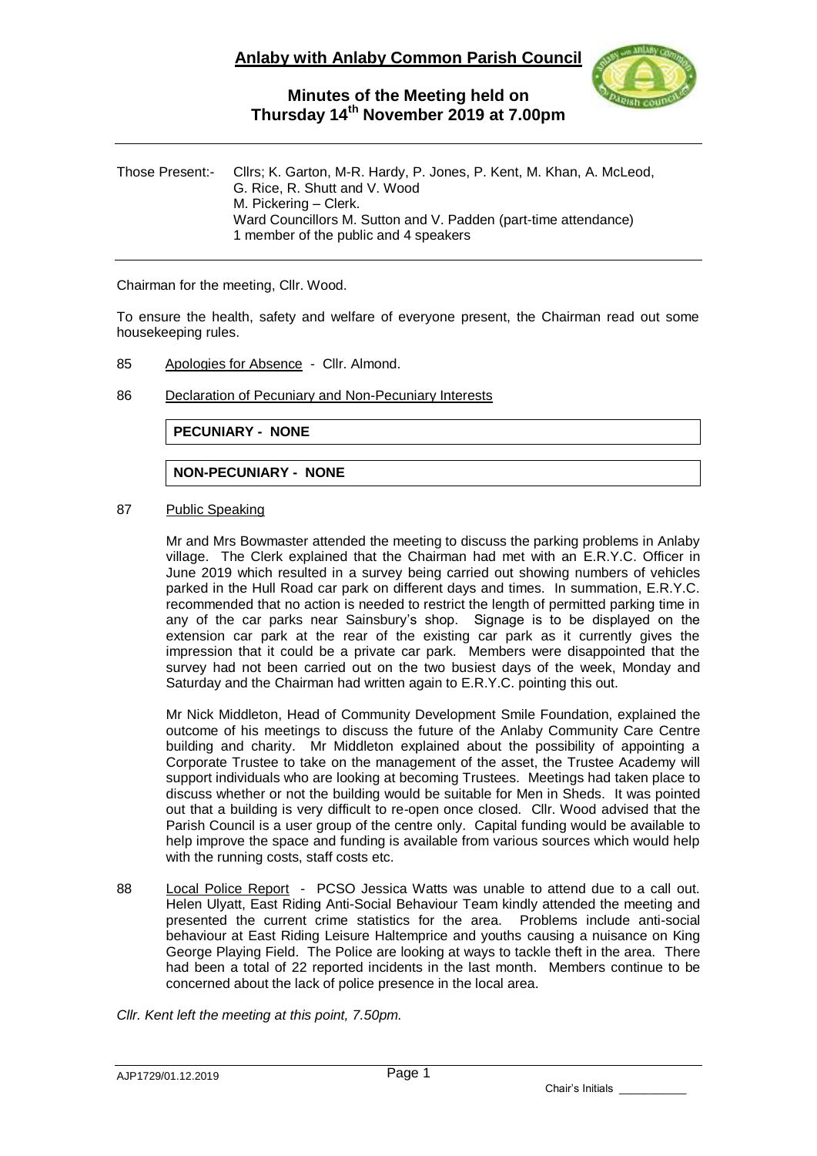

| Those Present:- | Cllrs; K. Garton, M-R. Hardy, P. Jones, P. Kent, M. Khan, A. McLeod,<br>G. Rice, R. Shutt and V. Wood<br>M. Pickering – Clerk. |
|-----------------|--------------------------------------------------------------------------------------------------------------------------------|
|                 | Ward Councillors M. Sutton and V. Padden (part-time attendance)<br>1 member of the public and 4 speakers                       |

Chairman for the meeting, Cllr. Wood.

To ensure the health, safety and welfare of everyone present, the Chairman read out some housekeeping rules.

- 85 Apologies for Absence Cllr. Almond.
- 86 Declaration of Pecuniary and Non-Pecuniary Interests

**PECUNIARY - NONE**

**NON-PECUNIARY - NONE**

#### 87 Public Speaking

Mr and Mrs Bowmaster attended the meeting to discuss the parking problems in Anlaby village. The Clerk explained that the Chairman had met with an E.R.Y.C. Officer in June 2019 which resulted in a survey being carried out showing numbers of vehicles parked in the Hull Road car park on different days and times. In summation, E.R.Y.C. recommended that no action is needed to restrict the length of permitted parking time in any of the car parks near Sainsbury's shop. Signage is to be displayed on the extension car park at the rear of the existing car park as it currently gives the impression that it could be a private car park. Members were disappointed that the survey had not been carried out on the two busiest days of the week, Monday and Saturday and the Chairman had written again to E.R.Y.C. pointing this out.

Mr Nick Middleton, Head of Community Development Smile Foundation, explained the outcome of his meetings to discuss the future of the Anlaby Community Care Centre building and charity. Mr Middleton explained about the possibility of appointing a Corporate Trustee to take on the management of the asset, the Trustee Academy will support individuals who are looking at becoming Trustees. Meetings had taken place to discuss whether or not the building would be suitable for Men in Sheds. It was pointed out that a building is very difficult to re-open once closed. Cllr. Wood advised that the Parish Council is a user group of the centre only. Capital funding would be available to help improve the space and funding is available from various sources which would help with the running costs, staff costs etc.

- 88 Local Police Report PCSO Jessica Watts was unable to attend due to a call out. Helen Ulyatt, East Riding Anti-Social Behaviour Team kindly attended the meeting and presented the current crime statistics for the area. Problems include anti-social behaviour at East Riding Leisure Haltemprice and youths causing a nuisance on King George Playing Field. The Police are looking at ways to tackle theft in the area. There had been a total of 22 reported incidents in the last month. Members continue to be concerned about the lack of police presence in the local area.
- *Cllr. Kent left the meeting at this point, 7.50pm.*

Chair's Initials \_\_\_\_\_\_\_\_\_\_\_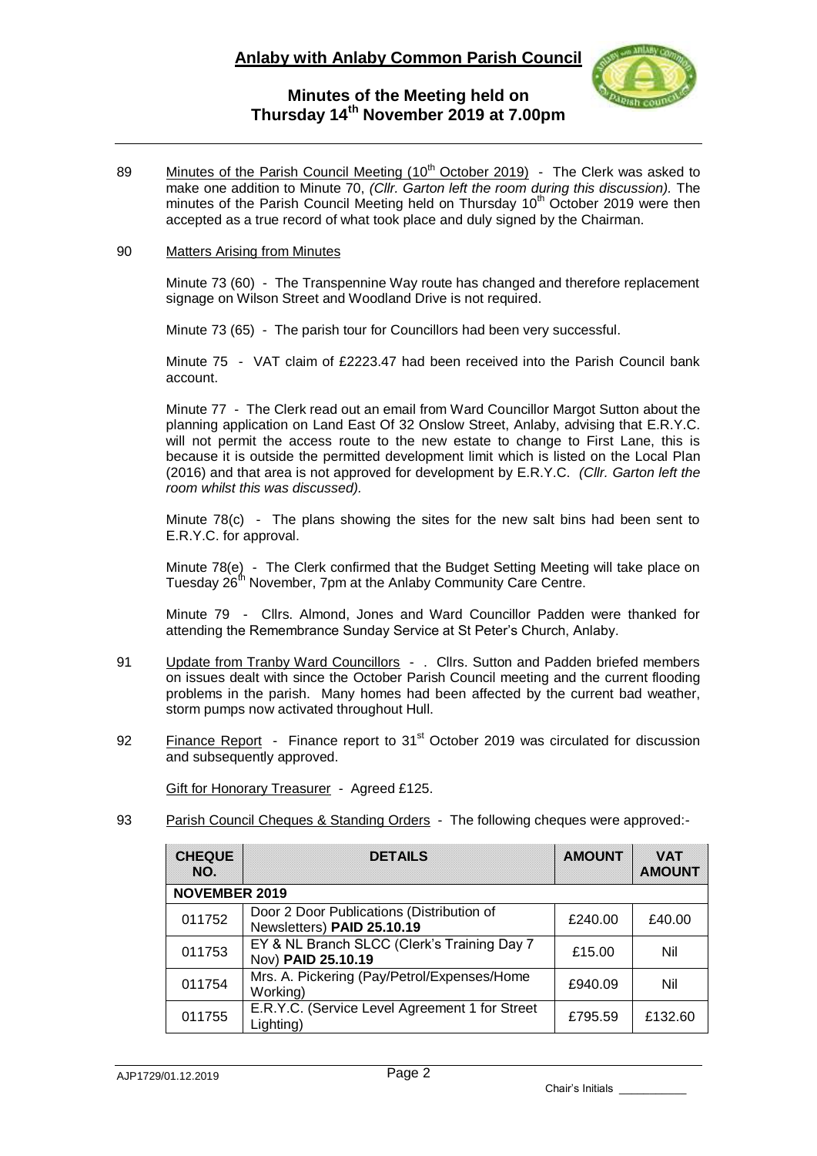

89 Minutes of the Parish Council Meeting (10<sup>th</sup> October 2019) - The Clerk was asked to make one addition to Minute 70, *(Cllr. Garton left the room during this discussion)*. The minutes of the Parish Council Meeting held on Thursday 10<sup>th</sup> October 2019 were then accepted as a true record of what took place and duly signed by the Chairman.

#### 90 Matters Arising from Minutes

Minute 73 (60) - The Transpennine Way route has changed and therefore replacement signage on Wilson Street and Woodland Drive is not required.

Minute 73 (65) - The parish tour for Councillors had been very successful.

Minute 75 - VAT claim of £2223.47 had been received into the Parish Council bank account.

Minute 77 - The Clerk read out an email from Ward Councillor Margot Sutton about the planning application on Land East Of 32 Onslow Street, Anlaby, advising that E.R.Y.C. will not permit the access route to the new estate to change to First Lane, this is because it is outside the permitted development limit which is listed on the Local Plan (2016) and that area is not approved for development by E.R.Y.C. *(Cllr. Garton left the room whilst this was discussed).*

Minute 78(c) - The plans showing the sites for the new salt bins had been sent to E.R.Y.C. for approval.

Minute 78(e) - The Clerk confirmed that the Budget Setting Meeting will take place on Tuesday 26<sup>th</sup> November, 7pm at the Anlaby Community Care Centre.

Minute 79 - Cllrs. Almond, Jones and Ward Councillor Padden were thanked for attending the Remembrance Sunday Service at St Peter's Church, Anlaby.

- 91 Update from Tranby Ward Councillors . Cllrs. Sutton and Padden briefed members on issues dealt with since the October Parish Council meeting and the current flooding problems in the parish. Many homes had been affected by the current bad weather, storm pumps now activated throughout Hull.
- 92 Finance Report Finance report to 31<sup>st</sup> October 2019 was circulated for discussion and subsequently approved.

Gift for Honorary Treasurer - Agreed £125.

93 Parish Council Cheques & Standing Orders - The following cheques were approved:-

| <b>CHEQUE</b><br>NO. | <b>DETAILS</b>                                                          | <b>AMOUNT</b> | <b>VAT</b><br><b>AMOUNT</b> |  |  |
|----------------------|-------------------------------------------------------------------------|---------------|-----------------------------|--|--|
| <b>NOVEMBER 2019</b> |                                                                         |               |                             |  |  |
| 011752               | Door 2 Door Publications (Distribution of<br>Newsletters) PAID 25.10.19 | £240.00       | £40.00                      |  |  |
| 011753               | EY & NL Branch SLCC (Clerk's Training Day 7<br>Nov) PAID 25.10.19       | £15.00        | Nil                         |  |  |
| 011754               | Mrs. A. Pickering (Pay/Petrol/Expenses/Home<br>Working)                 | £940.09       | Nil                         |  |  |
| 011755               | E.R.Y.C. (Service Level Agreement 1 for Street<br>Lighting)             | £795.59       | £132.60                     |  |  |

Chair's Initials \_\_\_\_\_\_\_\_\_\_\_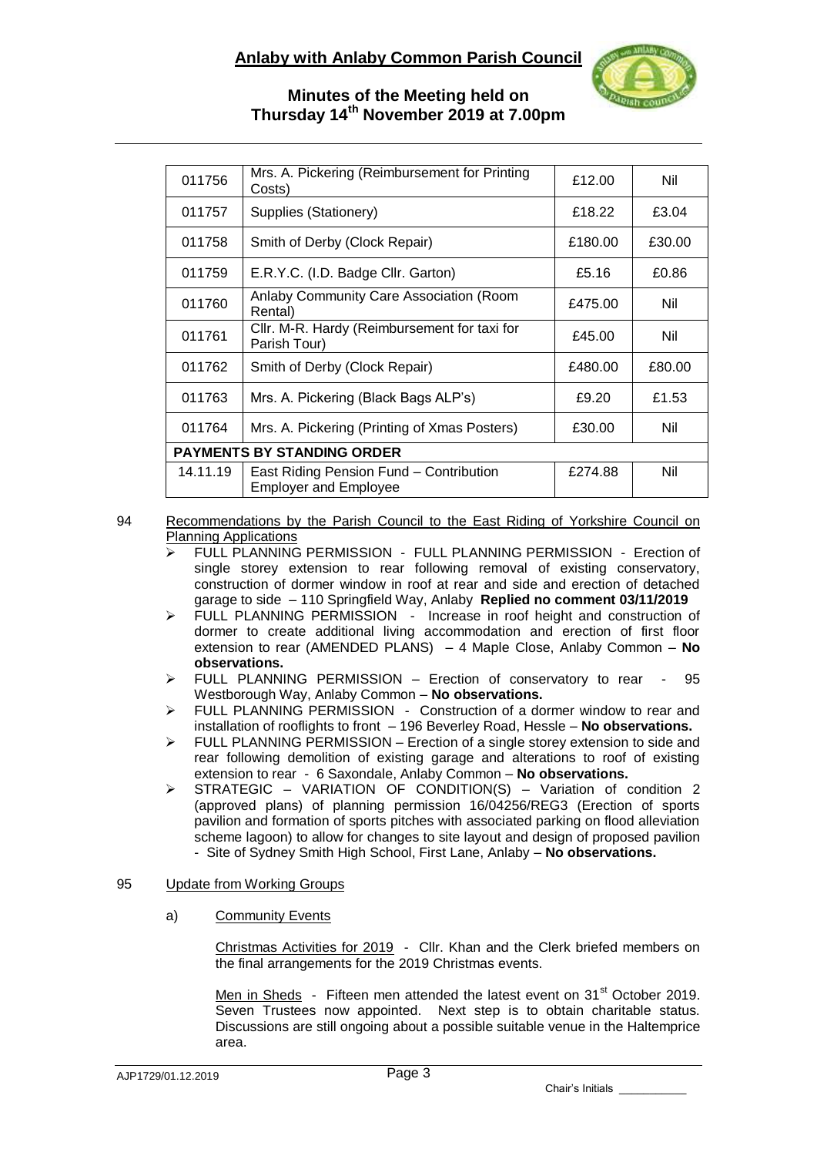

| 011756                            | Mrs. A. Pickering (Reimbursement for Printing<br>Costs)                 | £12.00  | Nil    |  |
|-----------------------------------|-------------------------------------------------------------------------|---------|--------|--|
| 011757                            | Supplies (Stationery)                                                   | £18.22  | £3.04  |  |
| 011758                            | Smith of Derby (Clock Repair)                                           | £180.00 | £30.00 |  |
| 011759                            | E.R.Y.C. (I.D. Badge Cllr. Garton)                                      | £5.16   | £0.86  |  |
| 011760                            | Anlaby Community Care Association (Room<br>Rental)                      | £475.00 | Nil    |  |
| 011761                            | Cllr. M-R. Hardy (Reimbursement for taxi for<br>Parish Tour)            | £45.00  | Nil    |  |
| 011762                            | Smith of Derby (Clock Repair)                                           | £480.00 | £80.00 |  |
| 011763                            | Mrs. A. Pickering (Black Bags ALP's)                                    | £9.20   | £1.53  |  |
| 011764                            | Mrs. A. Pickering (Printing of Xmas Posters)                            | £30.00  | Nil    |  |
| <b>PAYMENTS BY STANDING ORDER</b> |                                                                         |         |        |  |
| 14.11.19                          | East Riding Pension Fund - Contribution<br><b>Employer and Employee</b> | £274.88 | Nil    |  |

### 94 Recommendations by the Parish Council to the East Riding of Yorkshire Council on Planning Applications

- FULL PLANNING PERMISSION FULL PLANNING PERMISSION Erection of single storey extension to rear following removal of existing conservatory, construction of dormer window in roof at rear and side and erection of detached garage to side – 110 Springfield Way, Anlaby **Replied no comment 03/11/2019**
- FULL PLANNING PERMISSION Increase in roof height and construction of dormer to create additional living accommodation and erection of first floor extension to rear (AMENDED PLANS) – 4 Maple Close, Anlaby Common – **No observations.**
- $\triangleright$  FULL PLANNING PERMISSION Erection of conservatory to rear 95 Westborough Way, Anlaby Common – **No observations.**
- > FULL PLANNING PERMISSION Construction of a dormer window to rear and installation of rooflights to front – 196 Beverley Road, Hessle – **No observations.**
- $\triangleright$  FULL PLANNING PERMISSION Erection of a single storey extension to side and rear following demolition of existing garage and alterations to roof of existing extension to rear - 6 Saxondale, Anlaby Common – **No observations.**
- $\triangleright$  STRATEGIC VARIATION OF CONDITION(S) Variation of condition 2 (approved plans) of planning permission 16/04256/REG3 (Erection of sports pavilion and formation of sports pitches with associated parking on flood alleviation scheme lagoon) to allow for changes to site layout and design of proposed pavilion - Site of Sydney Smith High School, First Lane, Anlaby – **No observations.**

### 95 Update from Working Groups

a) Community Events

Christmas Activities for 2019 - Cllr. Khan and the Clerk briefed members on the final arrangements for the 2019 Christmas events.

Men in Sheds - Fifteen men attended the latest event on 31<sup>st</sup> October 2019. Seven Trustees now appointed. Next step is to obtain charitable status. Discussions are still ongoing about a possible suitable venue in the Haltemprice area.

Chair's Initials \_\_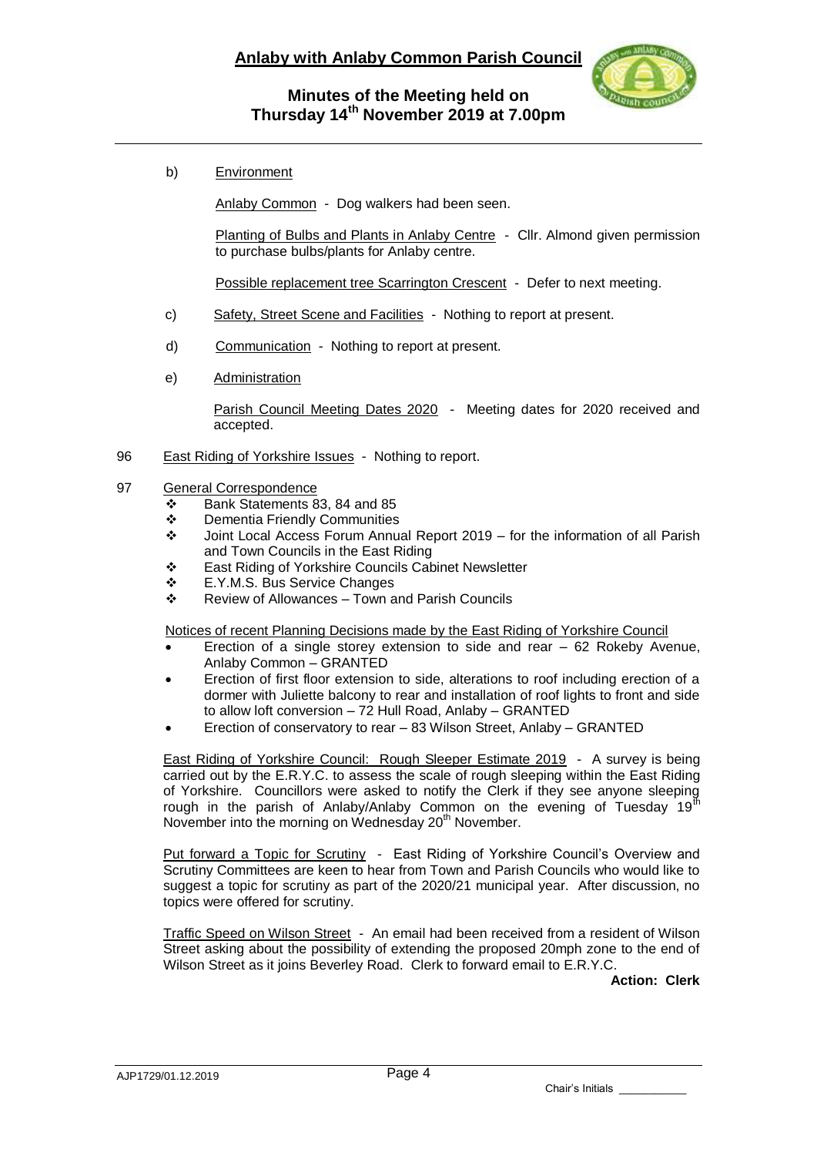

b) Environment

Anlaby Common - Dog walkers had been seen.

Planting of Bulbs and Plants in Anlaby Centre - Cllr. Almond given permission to purchase bulbs/plants for Anlaby centre.

Possible replacement tree Scarrington Crescent - Defer to next meeting.

- c) Safety, Street Scene and Facilities Nothing to report at present.
- d) Communication Nothing to report at present.
- e) Administration

Parish Council Meeting Dates 2020 - Meeting dates for 2020 received and accepted.

96 East Riding of Yorkshire Issues - Nothing to report.

#### 97 General Correspondence

- $\div$  Bank Statements 83, 84 and 85
- Dementia Friendly Communities
- Joint Local Access Forum Annual Report 2019 for the information of all Parish and Town Councils in the East Riding
- East Riding of Yorkshire Councils Cabinet Newsletter
- E.Y.M.S. Bus Service Changes
- $\div$  Review of Allowances Town and Parish Councils

Notices of recent Planning Decisions made by the East Riding of Yorkshire Council

- Erection of a single storey extension to side and rear 62 Rokeby Avenue, Anlaby Common – GRANTED
- Erection of first floor extension to side, alterations to roof including erection of a dormer with Juliette balcony to rear and installation of roof lights to front and side to allow loft conversion – 72 Hull Road, Anlaby – GRANTED
- Erection of conservatory to rear 83 Wilson Street, Anlaby GRANTED

East Riding of Yorkshire Council: Rough Sleeper Estimate 2019 - A survey is being carried out by the E.R.Y.C. to assess the scale of rough sleeping within the East Riding of Yorkshire. Councillors were asked to notify the Clerk if they see anyone sleeping rough in the parish of Anlaby/Anlaby Common on the evening of Tuesday 19<sup>th</sup> November into the morning on Wednesday 20<sup>th</sup> November.

Put forward a Topic for Scrutiny - East Riding of Yorkshire Council's Overview and Scrutiny Committees are keen to hear from Town and Parish Councils who would like to suggest a topic for scrutiny as part of the 2020/21 municipal year. After discussion, no topics were offered for scrutiny.

Traffic Speed on Wilson Street - An email had been received from a resident of Wilson Street asking about the possibility of extending the proposed 20mph zone to the end of Wilson Street as it joins Beverley Road. Clerk to forward email to E.R.Y.C.

**Action: Clerk**

Chair's Initials \_\_